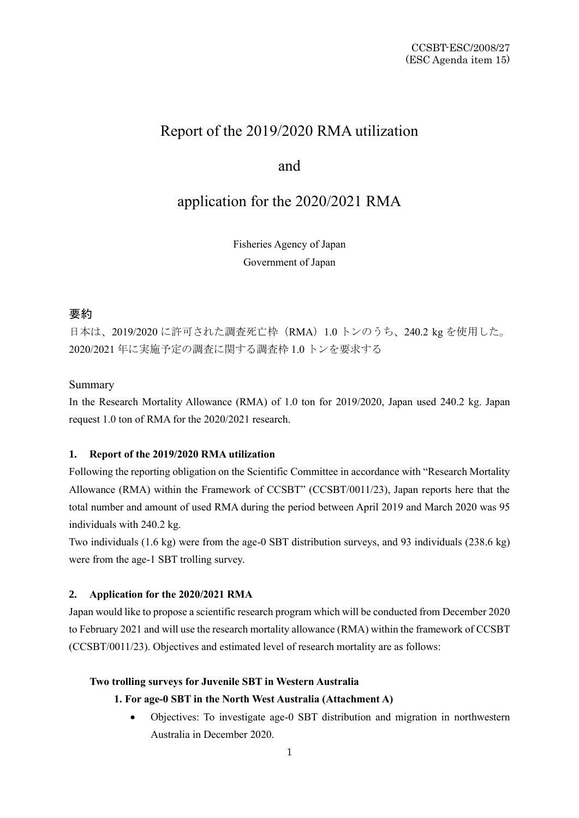# Report of the 2019/2020 RMA utilization

# and

# application for the 2020/2021 RMA

Fisheries Agency of Japan Government of Japan

# 要約

日本は、2019/2020 に許可された調査死亡枠(RMA)1.0 トンのうち、240.2 kg を使用した。 2020/2021 年に実施予定の調査に関する調査枠 1.0 トンを要求する

### Summary

In the Research Mortality Allowance (RMA) of 1.0 ton for 2019/2020, Japan used 240.2 kg. Japan request 1.0 ton of RMA for the 2020/2021 research.

#### **1. Report of the 2019/2020 RMA utilization**

Following the reporting obligation on the Scientific Committee in accordance with "Research Mortality Allowance (RMA) within the Framework of CCSBT" (CCSBT/0011/23), Japan reports here that the total number and amount of used RMA during the period between April 2019 and March 2020 was 95 individuals with 240.2 kg.

Two individuals (1.6 kg) were from the age-0 SBT distribution surveys, and 93 individuals (238.6 kg) were from the age-1 SBT trolling survey.

#### **2. Application for the 2020/2021 RMA**

Japan would like to propose a scientific research program which will be conducted from December 2020 to February 2021 and will use the research mortality allowance (RMA) within the framework of CCSBT (CCSBT/0011/23). Objectives and estimated level of research mortality are as follows:

#### **Two trolling surveys for Juvenile SBT in Western Australia**

### **1. For age-0 SBT in the North West Australia (Attachment A)**

• Objectives: To investigate age-0 SBT distribution and migration in northwestern Australia in December 2020.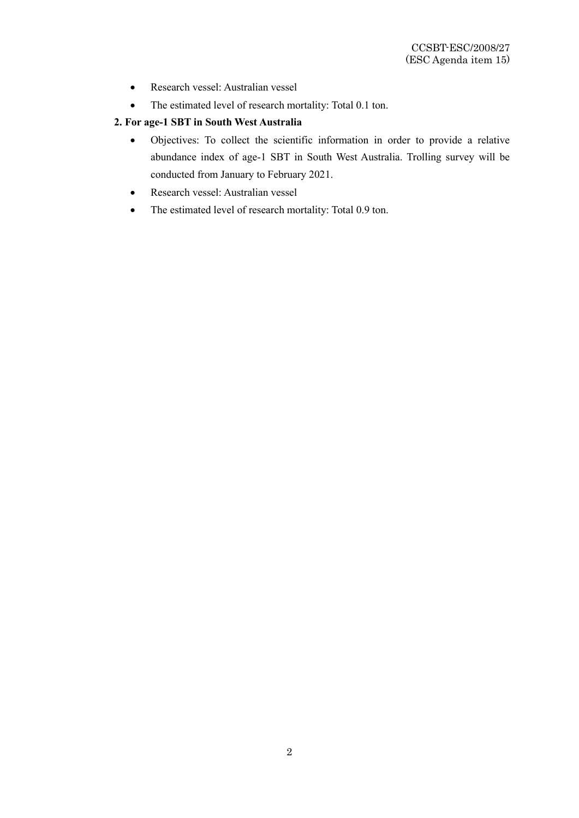- Research vessel: Australian vessel
- The estimated level of research mortality: Total 0.1 ton.

# **2. For age-1 SBT in South West Australia**

- Objectives: To collect the scientific information in order to provide a relative abundance index of age-1 SBT in South West Australia. Trolling survey will be conducted from January to February 2021.
- Research vessel: Australian vessel
- The estimated level of research mortality: Total 0.9 ton.